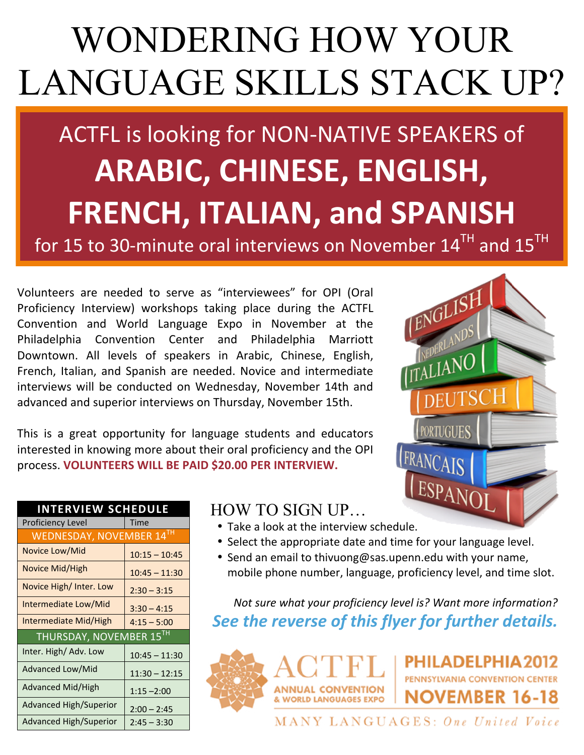# WONDERING HOW YOUR LANGUAGE SKILLS STACK UP?

## ACTFL is looking for NON-NATIVE SPEAKERS of **ARABIC, CHINESE, ENGLISH, FRENCH, ITALIAN, and SPANISH**

for 15 to 30-minute oral interviews on November  $14^{TH}$  and  $15^{TH}$ 

Volunteers are needed to serve as "interviewees" for OPI (Oral Proficiency Interview) workshops taking place during the ACTFL Convention and World Language Expo in November at the Philadelphia Convention Center and Philadelphia Marriott Downtown. All levels of speakers in Arabic, Chinese, English, French, Italian, and Spanish are needed. Novice and intermediate interviews will be conducted on Wednesday, November 14th and advanced and superior interviews on Thursday, November 15th.

This is a great opportunity for language students and educators interested in knowing more about their oral proficiency and the OPI process. **VOLUNTEERS WILL BE PAID \$20.00 PER INTERVIEW.** 



| <b>INTERVIEW SCHEDULE</b> |                 |
|---------------------------|-----------------|
| Proficiency Level         | Time            |
| WEDNESDAY, NOVEMBER 14TH  |                 |
| Novice Low/Mid            | $10:15 - 10:45$ |
| Novice Mid/High           | $10:45 - 11:30$ |
| Novice High/Inter. Low    | $2:30 - 3:15$   |
| Intermediate Low/Mid      | $3:30 - 4:15$   |
| Intermediate Mid/High     | $4:15 - 5:00$   |
| THURSDAY, NOVEMBER 15TH   |                 |
| Inter. High/ Adv. Low     | $10:45 - 11:30$ |
| Advanced Low/Mid          | $11:30 - 12:15$ |
| Advanced Mid/High         | $1:15 - 2:00$   |
| Advanced High/Superior    | $2:00 - 2:45$   |
| Advanced High/Superior    | $2:45 - 3:30$   |

## HOW TO SIGN UP…

- Take a look at the interview schedule.
- Select the appropriate date and time for your language level.
- Send an email to thivuong@sas.upenn.edu with your name, mobile phone number, language, proficiency level, and time slot.

*Not sure what your proficiency level is? Want more information?* **See the reverse of this flyer for further details.** 



MANY LANGUAGES: One United Voice